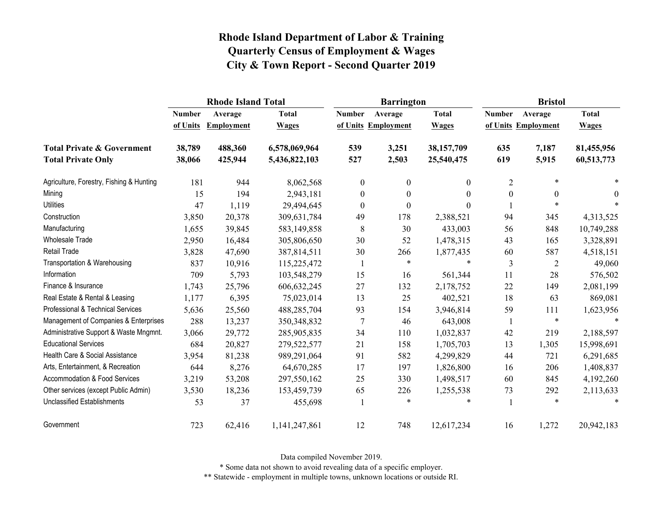|                                          |               | <b>Rhode Island Total</b> |               |                  | <b>Barrington</b>   |              | <b>Bristol</b>   |                     |              |
|------------------------------------------|---------------|---------------------------|---------------|------------------|---------------------|--------------|------------------|---------------------|--------------|
|                                          | <b>Number</b> | Average                   | <b>Total</b>  | <b>Number</b>    | Average             | <b>Total</b> | <b>Number</b>    | Average             | <b>Total</b> |
|                                          | of Units      | <b>Employment</b>         | <b>Wages</b>  |                  | of Units Employment | <b>Wages</b> |                  | of Units Employment | <b>Wages</b> |
| <b>Total Private &amp; Government</b>    | 38,789        | 488,360                   | 6,578,069,964 | 539              | 3,251               | 38,157,709   | 635              | 7,187               | 81,455,956   |
| <b>Total Private Only</b>                | 38,066        | 425,944                   | 5,436,822,103 | 527              | 2,503               | 25,540,475   | 619              | 5,915               | 60,513,773   |
| Agriculture, Forestry, Fishing & Hunting | 181           | 944                       | 8,062,568     | $\mathbf{0}$     | $\mathbf{0}$        | $\theta$     | 2                | $\ast$              |              |
| Mining                                   | 15            | 194                       | 2,943,181     | $\boldsymbol{0}$ | $\boldsymbol{0}$    | $\theta$     | $\boldsymbol{0}$ | $\boldsymbol{0}$    | $\theta$     |
| <b>Utilities</b>                         | 47            | 1,119                     | 29,494,645    | $\mathbf{0}$     | $\boldsymbol{0}$    | $\theta$     |                  | $\ast$              | $\ast$       |
| Construction                             | 3,850         | 20,378                    | 309,631,784   | 49               | 178                 | 2,388,521    | 94               | 345                 | 4,313,525    |
| Manufacturing                            | 1,655         | 39,845                    | 583,149,858   | 8                | 30                  | 433,003      | 56               | 848                 | 10,749,288   |
| Wholesale Trade                          | 2,950         | 16,484                    | 305,806,650   | 30               | 52                  | 1,478,315    | 43               | 165                 | 3,328,891    |
| <b>Retail Trade</b>                      | 3,828         | 47,690                    | 387,814,511   | 30               | 266                 | 1,877,435    | 60               | 587                 | 4,518,151    |
| Transportation & Warehousing             | 837           | 10,916                    | 115,225,472   | 1                | $\ast$              | $\ast$       | 3                | $\overline{2}$      | 49,060       |
| Information                              | 709           | 5,793                     | 103,548,279   | 15               | 16                  | 561,344      | 11               | 28                  | 576,502      |
| Finance & Insurance                      | 1,743         | 25,796                    | 606,632,245   | 27               | 132                 | 2,178,752    | 22               | 149                 | 2,081,199    |
| Real Estate & Rental & Leasing           | 1,177         | 6,395                     | 75,023,014    | 13               | 25                  | 402,521      | 18               | 63                  | 869,081      |
| Professional & Technical Services        | 5,636         | 25,560                    | 488,285,704   | 93               | 154                 | 3,946,814    | 59               | 111                 | 1,623,956    |
| Management of Companies & Enterprises    | 288           | 13,237                    | 350,348,832   | $\tau$           | 46                  | 643,008      | -1               | $\ast$              | $\ast$       |
| Administrative Support & Waste Mngmnt.   | 3,066         | 29,772                    | 285,905,835   | 34               | 110                 | 1,032,837    | 42               | 219                 | 2,188,597    |
| <b>Educational Services</b>              | 684           | 20,827                    | 279,522,577   | 21               | 158                 | 1,705,703    | 13               | 1,305               | 15,998,691   |
| Health Care & Social Assistance          | 3,954         | 81,238                    | 989,291,064   | 91               | 582                 | 4,299,829    | 44               | 721                 | 6,291,685    |
| Arts, Entertainment, & Recreation        | 644           | 8,276                     | 64,670,285    | 17               | 197                 | 1,826,800    | 16               | 206                 | 1,408,837    |
| Accommodation & Food Services            | 3,219         | 53,208                    | 297,550,162   | 25               | 330                 | 1,498,517    | 60               | 845                 | 4,192,260    |
| Other services (except Public Admin)     | 3,530         | 18,236                    | 153,459,739   | 65               | 226                 | 1,255,538    | 73               | 292                 | 2,113,633    |
| <b>Unclassified Establishments</b>       | 53            | 37                        | 455,698       |                  | $\ast$              | $\ast$       | 1                | $\ast$              | $\ast$       |
| Government                               | 723           | 62,416                    | 1,141,247,861 | 12               | 748                 | 12,617,234   | 16               | 1,272               | 20,942,183   |

Data compiled November 2019.

\* Some data not shown to avoid revealing data of a specific employer.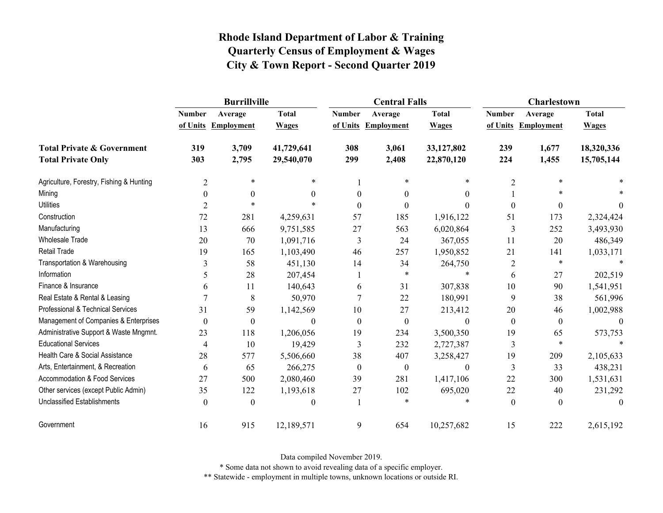|                                          |                  | <b>Burrillville</b> |                  |               | <b>Central Falls</b> |                  | <b>Charlestown</b> |                     |              |
|------------------------------------------|------------------|---------------------|------------------|---------------|----------------------|------------------|--------------------|---------------------|--------------|
|                                          | <b>Number</b>    | Average             | <b>Total</b>     | <b>Number</b> | Average              | <b>Total</b>     | <b>Number</b>      | Average             | <b>Total</b> |
|                                          |                  | of Units Employment | <b>Wages</b>     |               | of Units Employment  | <b>Wages</b>     |                    | of Units Employment | <b>Wages</b> |
| <b>Total Private &amp; Government</b>    | 319              | 3,709               | 41,729,641       | 308           | 3,061                | 33,127,802       | 239                | 1,677               | 18,320,336   |
| <b>Total Private Only</b>                | 303              | 2,795               | 29,540,070       | 299           | 2,408                | 22,870,120       | 224                | 1,455               | 15,705,144   |
| Agriculture, Forestry, Fishing & Hunting | $\overline{2}$   | $\ast$              | $\ast$           |               | $\ast$               | *                | $\overline{2}$     | *                   |              |
| Mining                                   | $\mathbf{0}$     | $\overline{0}$      | 0                | $\theta$      | $\theta$             | $\theta$         |                    | $\ast$              |              |
| <b>Utilities</b>                         | 2                | $\ast$              |                  | $\Omega$      | 0                    | ∩                | $\theta$           | $\theta$            | $\theta$     |
| Construction                             | 72               | 281                 | 4,259,631        | 57            | 185                  | 1,916,122        | 51                 | 173                 | 2,324,424    |
| Manufacturing                            | 13               | 666                 | 9,751,585        | 27            | 563                  | 6,020,864        | 3                  | 252                 | 3,493,930    |
| <b>Wholesale Trade</b>                   | 20               | 70                  | 1,091,716        | 3             | 24                   | 367,055          | 11                 | 20                  | 486,349      |
| <b>Retail Trade</b>                      | 19               | 165                 | 1,103,490        | 46            | 257                  | 1,950,852        | 21                 | 141                 | 1,033,171    |
| Transportation & Warehousing             | 3                | 58                  | 451,130          | 14            | 34                   | 264,750          | $\overline{2}$     | $\ast$              | $\ast$       |
| Information                              | 5                | 28                  | 207,454          |               | *                    | $\ast$           | 6                  | 27                  | 202,519      |
| Finance & Insurance                      | 6                | 11                  | 140,643          | 6             | 31                   | 307,838          | 10                 | 90                  | 1,541,951    |
| Real Estate & Rental & Leasing           |                  | 8                   | 50,970           |               | 22                   | 180,991          | 9                  | 38                  | 561,996      |
| Professional & Technical Services        | 31               | 59                  | 1,142,569        | 10            | 27                   | 213,412          | 20                 | 46                  | 1,002,988    |
| Management of Companies & Enterprises    | $\boldsymbol{0}$ | $\boldsymbol{0}$    | $\boldsymbol{0}$ | $\mathbf{0}$  | $\boldsymbol{0}$     | $\boldsymbol{0}$ | $\boldsymbol{0}$   | $\boldsymbol{0}$    | $\mathbf{0}$ |
| Administrative Support & Waste Mngmnt.   | 23               | 118                 | 1,206,056        | 19            | 234                  | 3,500,350        | 19                 | 65                  | 573,753      |
| <b>Educational Services</b>              | $\overline{4}$   | 10                  | 19,429           | 3             | 232                  | 2,727,387        | 3                  | $\ast$              |              |
| Health Care & Social Assistance          | 28               | 577                 | 5,506,660        | 38            | 407                  | 3,258,427        | 19                 | 209                 | 2,105,633    |
| Arts, Entertainment, & Recreation        | 6                | 65                  | 266,275          | $\mathbf{0}$  | $\boldsymbol{0}$     | $\boldsymbol{0}$ | 3                  | 33                  | 438,231      |
| Accommodation & Food Services            | 27               | 500                 | 2,080,460        | 39            | 281                  | 1,417,106        | 22                 | 300                 | 1,531,631    |
| Other services (except Public Admin)     | 35               | 122                 | 1,193,618        | 27            | 102                  | 695,020          | 22                 | 40                  | 231,292      |
| <b>Unclassified Establishments</b>       | $\theta$         | $\theta$            | 0                |               | $\ast$               | *                | $\boldsymbol{0}$   | $\theta$            | $\theta$     |
| Government                               | 16               | 915                 | 12,189,571       | 9             | 654                  | 10,257,682       | 15                 | 222                 | 2,615,192    |

Data compiled November 2019.

\* Some data not shown to avoid revealing data of a specific employer.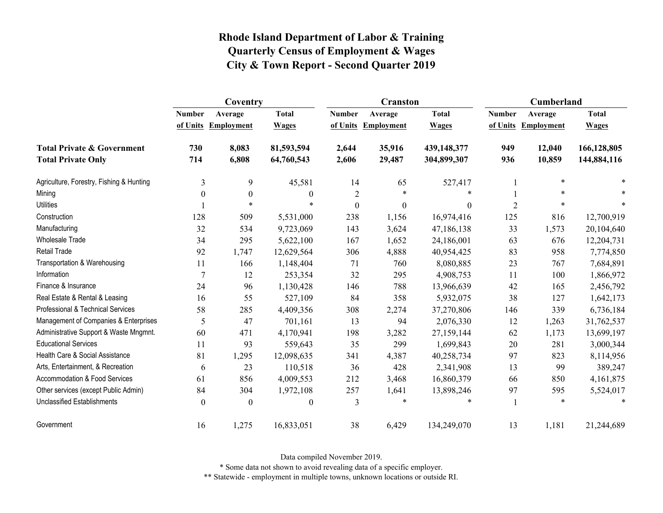|                                          | Coventry       |                   |                  |                  | <b>Cranston</b>   |              | Cumberland     |                   |              |
|------------------------------------------|----------------|-------------------|------------------|------------------|-------------------|--------------|----------------|-------------------|--------------|
|                                          | <b>Number</b>  | Average           | <b>Total</b>     | <b>Number</b>    | Average           | <b>Total</b> | <b>Number</b>  | Average           | <b>Total</b> |
|                                          | of Units       | <b>Employment</b> | <b>Wages</b>     | of Units         | <b>Employment</b> | <b>Wages</b> | of Units       | <b>Employment</b> | <b>Wages</b> |
| <b>Total Private &amp; Government</b>    | 730            | 8,083             | 81,593,594       | 2,644            | 35,916            | 439,148,377  | 949            | 12,040            | 166,128,805  |
| <b>Total Private Only</b>                | 714            | 6,808             | 64,760,543       | 2,606            | 29,487            | 304,899,307  | 936            | 10,859            | 144,884,116  |
| Agriculture, Forestry, Fishing & Hunting | 3              | 9                 | 45,581           | 14               | 65                | 527,417      |                | $\ast$            | $\ast$       |
| Mining                                   | $\theta$       | $\boldsymbol{0}$  | $\boldsymbol{0}$ | $\overline{2}$   | $\ast$            | ∗            |                | *                 |              |
| <b>Utilities</b>                         |                | $\ast$            | $\ast$           | $\boldsymbol{0}$ | $\boldsymbol{0}$  | $\mathbf{0}$ | $\overline{2}$ | $\ast$            |              |
| Construction                             | 128            | 509               | 5,531,000        | 238              | 1,156             | 16,974,416   | 125            | 816               | 12,700,919   |
| Manufacturing                            | 32             | 534               | 9,723,069        | 143              | 3,624             | 47,186,138   | 33             | 1,573             | 20,104,640   |
| <b>Wholesale Trade</b>                   | 34             | 295               | 5,622,100        | 167              | 1,652             | 24,186,001   | 63             | 676               | 12,204,731   |
| <b>Retail Trade</b>                      | 92             | 1,747             | 12,629,564       | 306              | 4,888             | 40,954,425   | 83             | 958               | 7,774,850    |
| Transportation & Warehousing             | 11             | 166               | 1,148,404        | 71               | 760               | 8,080,885    | 23             | 767               | 7,684,891    |
| Information                              | 7              | 12                | 253,354          | 32               | 295               | 4,908,753    | 11             | 100               | 1,866,972    |
| Finance & Insurance                      | 24             | 96                | 1,130,428        | 146              | 788               | 13,966,639   | 42             | 165               | 2,456,792    |
| Real Estate & Rental & Leasing           | 16             | 55                | 527,109          | 84               | 358               | 5,932,075    | 38             | 127               | 1,642,173    |
| Professional & Technical Services        | 58             | 285               | 4,409,356        | 308              | 2,274             | 37,270,806   | 146            | 339               | 6,736,184    |
| Management of Companies & Enterprises    | 5              | 47                | 701,161          | 13               | 94                | 2,076,330    | 12             | 1,263             | 31,762,537   |
| Administrative Support & Waste Mngmnt.   | 60             | 471               | 4,170,941        | 198              | 3,282             | 27,159,144   | 62             | 1,173             | 13,699,197   |
| <b>Educational Services</b>              | 11             | 93                | 559,643          | 35               | 299               | 1,699,843    | 20             | 281               | 3,000,344    |
| Health Care & Social Assistance          | 81             | 1,295             | 12,098,635       | 341              | 4,387             | 40,258,734   | 97             | 823               | 8,114,956    |
| Arts, Entertainment, & Recreation        | 6              | 23                | 110,518          | 36               | 428               | 2,341,908    | 13             | 99                | 389,247      |
| <b>Accommodation &amp; Food Services</b> | 61             | 856               | 4,009,553        | 212              | 3,468             | 16,860,379   | 66             | 850               | 4,161,875    |
| Other services (except Public Admin)     | 84             | 304               | 1,972,108        | 257              | 1,641             | 13,898,246   | 97             | 595               | 5,524,017    |
| <b>Unclassified Establishments</b>       | $\overline{0}$ | $\theta$          | $\boldsymbol{0}$ | 3                | *                 | ∗            | 1              | $\ast$            | $\ast$       |
| Government                               | 16             | 1,275             | 16,833,051       | 38               | 6,429             | 134,249,070  | 13             | 1,181             | 21,244,689   |

Data compiled November 2019.

\* Some data not shown to avoid revealing data of a specific employer.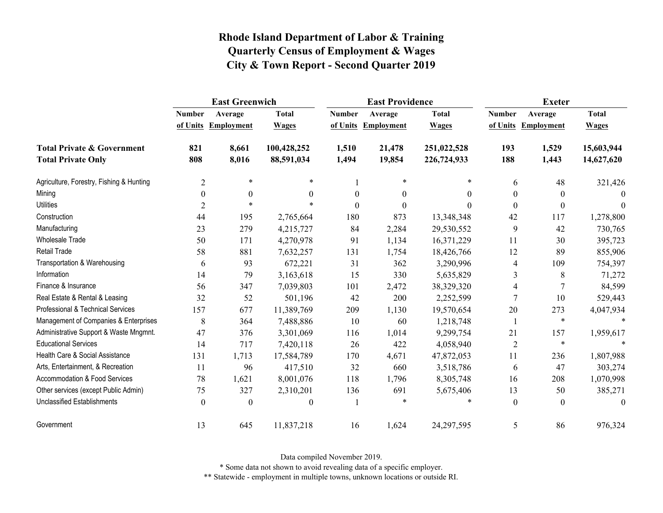|                                          | <b>East Greenwich</b> |                   |              | <b>East Providence</b> |                     | <b>Exeter</b> |                  |                     |              |
|------------------------------------------|-----------------------|-------------------|--------------|------------------------|---------------------|---------------|------------------|---------------------|--------------|
|                                          | <b>Number</b>         | Average           | <b>Total</b> | <b>Number</b>          | Average             | <b>Total</b>  | <b>Number</b>    | Average             | <b>Total</b> |
|                                          | of Units              | <b>Employment</b> | <b>Wages</b> |                        | of Units Employment | <b>Wages</b>  |                  | of Units Employment | <b>Wages</b> |
| <b>Total Private &amp; Government</b>    | 821                   | 8,661             | 100,428,252  | 1,510                  | 21,478              | 251,022,528   | 193              | 1,529               | 15,603,944   |
| <b>Total Private Only</b>                | 808                   | 8,016             | 88,591,034   | 1,494                  | 19,854              | 226,724,933   | 188              | 1,443               | 14,627,620   |
| Agriculture, Forestry, Fishing & Hunting | $\overline{2}$        | $\ast$            | $\ast$       |                        | *                   | $\ast$        | 6                | 48                  | 321,426      |
| Mining                                   | $\boldsymbol{0}$      | $\boldsymbol{0}$  | $\mathbf{0}$ | $\boldsymbol{0}$       | $\boldsymbol{0}$    | $\mathbf{0}$  | $\boldsymbol{0}$ | $\boldsymbol{0}$    | $\theta$     |
| <b>Utilities</b>                         | $\overline{2}$        | $\ast$            | $\ast$       | $\theta$               | $\theta$            | $\Omega$      | $\theta$         | $\mathbf{0}$        | $\theta$     |
| Construction                             | 44                    | 195               | 2,765,664    | 180                    | 873                 | 13,348,348    | 42               | 117                 | 1,278,800    |
| Manufacturing                            | 23                    | 279               | 4,215,727    | 84                     | 2,284               | 29,530,552    | 9                | 42                  | 730,765      |
| Wholesale Trade                          | 50                    | 171               | 4,270,978    | 91                     | 1,134               | 16,371,229    | 11               | 30                  | 395,723      |
| <b>Retail Trade</b>                      | 58                    | 881               | 7,632,257    | 131                    | 1,754               | 18,426,766    | 12               | 89                  | 855,906      |
| Transportation & Warehousing             | 6                     | 93                | 672,221      | 31                     | 362                 | 3,290,996     | 4                | 109                 | 754,397      |
| Information                              | 14                    | 79                | 3,163,618    | 15                     | 330                 | 5,635,829     | 3                | 8                   | 71,272       |
| Finance & Insurance                      | 56                    | 347               | 7,039,803    | 101                    | 2,472               | 38,329,320    | 4                | 7                   | 84,599       |
| Real Estate & Rental & Leasing           | 32                    | 52                | 501,196      | 42                     | 200                 | 2,252,599     | $\tau$           | 10                  | 529,443      |
| Professional & Technical Services        | 157                   | 677               | 11,389,769   | 209                    | 1,130               | 19,570,654    | 20               | 273                 | 4,047,934    |
| Management of Companies & Enterprises    | 8                     | 364               | 7,488,886    | 10                     | 60                  | 1,218,748     | -1               | $\ast$              | $\ast$       |
| Administrative Support & Waste Mngmnt.   | 47                    | 376               | 3,301,069    | 116                    | 1,014               | 9,299,754     | 21               | 157                 | 1,959,617    |
| <b>Educational Services</b>              | 14                    | 717               | 7,420,118    | 26                     | 422                 | 4,058,940     | $\overline{2}$   | $\ast$              |              |
| Health Care & Social Assistance          | 131                   | 1,713             | 17,584,789   | 170                    | 4,671               | 47,872,053    | 11               | 236                 | 1,807,988    |
| Arts, Entertainment, & Recreation        | 11                    | 96                | 417,510      | 32                     | 660                 | 3,518,786     | 6                | 47                  | 303,274      |
| <b>Accommodation &amp; Food Services</b> | 78                    | 1,621             | 8,001,076    | 118                    | 1,796               | 8,305,748     | 16               | 208                 | 1,070,998    |
| Other services (except Public Admin)     | 75                    | 327               | 2,310,201    | 136                    | 691                 | 5,675,406     | 13               | 50                  | 385,271      |
| <b>Unclassified Establishments</b>       | $\boldsymbol{0}$      | $\boldsymbol{0}$  | $\mathbf{0}$ | 1                      | *                   |               | $\mathbf{0}$     | $\mathbf{0}$        | $\theta$     |
| Government                               | 13                    | 645               | 11,837,218   | 16                     | 1,624               | 24,297,595    | 5                | 86                  | 976,324      |

Data compiled November 2019.

\* Some data not shown to avoid revealing data of a specific employer.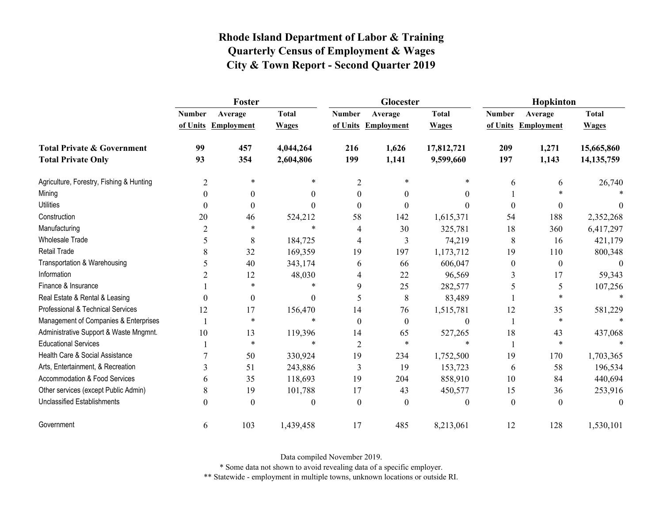|                                          | Foster           |                     |              |                | Glocester           |                  | Hopkinton        |                     |              |  |
|------------------------------------------|------------------|---------------------|--------------|----------------|---------------------|------------------|------------------|---------------------|--------------|--|
|                                          | <b>Number</b>    | Average             | <b>Total</b> | <b>Number</b>  | Average             | <b>Total</b>     | <b>Number</b>    | Average             | <b>Total</b> |  |
|                                          |                  | of Units Employment | <b>Wages</b> |                | of Units Employment | <b>Wages</b>     |                  | of Units Employment | <b>Wages</b> |  |
| <b>Total Private &amp; Government</b>    | 99               | 457                 | 4,044,264    | 216            | 1,626               | 17,812,721       | 209              | 1,271               | 15,665,860   |  |
| <b>Total Private Only</b>                | 93               | 354                 | 2,604,806    | 199            | 1,141               | 9,599,660        | 197              | 1,143               | 14, 135, 759 |  |
| Agriculture, Forestry, Fishing & Hunting | $\overline{2}$   | $\ast$              | *            | $\overline{2}$ | $\ast$              | *                | 6                | 6                   | 26,740       |  |
| Mining                                   | $\boldsymbol{0}$ | $\boldsymbol{0}$    | 0            | $\overline{0}$ | 0                   | $\theta$         |                  | $\ast$              |              |  |
| <b>Utilities</b>                         | $\theta$         | $\theta$            | 0            | $\Omega$       | 0                   | 0                | $\Omega$         | $\theta$            |              |  |
| Construction                             | 20               | 46                  | 524,212      | 58             | 142                 | 1,615,371        | 54               | 188                 | 2,352,268    |  |
| Manufacturing                            | $\overline{2}$   | *                   | $\ast$       | 4              | 30                  | 325,781          | 18               | 360                 | 6,417,297    |  |
| <b>Wholesale Trade</b>                   | 5                | 8                   | 184,725      | 4              | 3                   | 74,219           | 8                | 16                  | 421,179      |  |
| <b>Retail Trade</b>                      | 8                | 32                  | 169,359      | 19             | 197                 | 1,173,712        | 19               | 110                 | 800,348      |  |
| Transportation & Warehousing             | 5                | 40                  | 343,174      | 6              | 66                  | 606,047          | $\boldsymbol{0}$ | $\boldsymbol{0}$    |              |  |
| Information                              |                  | 12                  | 48,030       | 4              | 22                  | 96,569           | 3                | 17                  | 59,343       |  |
| Finance & Insurance                      |                  | $\ast$              | $\ast$       | 9              | 25                  | 282,577          | 5                | 5                   | 107,256      |  |
| Real Estate & Rental & Leasing           | $\theta$         | $\boldsymbol{0}$    | 0            | 5              | 8                   | 83,489           |                  | *                   | $\ast$       |  |
| Professional & Technical Services        | 12               | 17                  | 156,470      | 14             | 76                  | 1,515,781        | 12               | 35                  | 581,229      |  |
| Management of Companies & Enterprises    |                  | $\ast$              | $\ast$       | $\theta$       | $\boldsymbol{0}$    | $\boldsymbol{0}$ |                  | $\ast$              | $\ast$       |  |
| Administrative Support & Waste Mngmnt.   | 10               | 13                  | 119,396      | 14             | 65                  | 527,265          | 18               | 43                  | 437,068      |  |
| <b>Educational Services</b>              |                  | $\ast$              | $\ast$       | $\overline{2}$ | $\ast$              | $\ast$           |                  | $\ast$              |              |  |
| Health Care & Social Assistance          |                  | 50                  | 330,924      | 19             | 234                 | 1,752,500        | 19               | 170                 | 1,703,365    |  |
| Arts, Entertainment, & Recreation        | 3                | 51                  | 243,886      | 3              | 19                  | 153,723          | 6                | 58                  | 196,534      |  |
| <b>Accommodation &amp; Food Services</b> | 6                | 35                  | 118,693      | 19             | 204                 | 858,910          | 10               | 84                  | 440,694      |  |
| Other services (except Public Admin)     | 8                | 19                  | 101,788      | 17             | 43                  | 450,577          | 15               | 36                  | 253,916      |  |
| <b>Unclassified Establishments</b>       | $\theta$         | $\boldsymbol{0}$    | 0            | $\theta$       | $\Omega$            | $\theta$         | $\boldsymbol{0}$ | $\theta$            | $\theta$     |  |
| Government                               | 6                | 103                 | 1,439,458    | 17             | 485                 | 8,213,061        | 12               | 128                 | 1,530,101    |  |

Data compiled November 2019.

\* Some data not shown to avoid revealing data of a specific employer.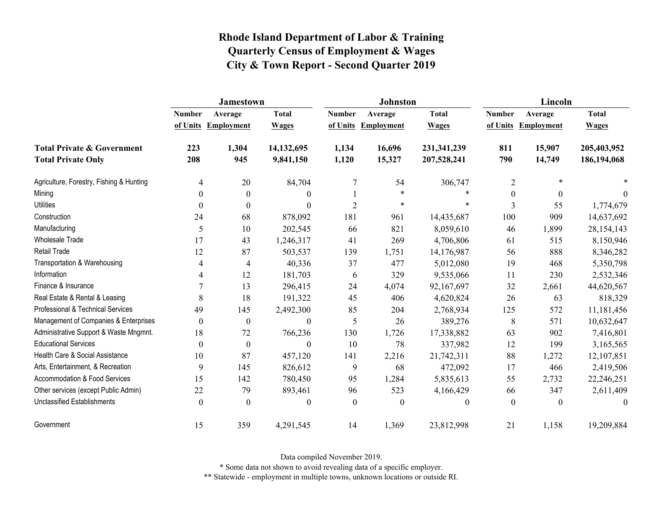|                                          | <b>Jamestown</b> |                     |                  |                  | <b>Johnston</b>     |                  | Lincoln          |                     |              |
|------------------------------------------|------------------|---------------------|------------------|------------------|---------------------|------------------|------------------|---------------------|--------------|
|                                          | <b>Number</b>    | Average             | <b>Total</b>     | <b>Number</b>    | Average             | <b>Total</b>     | <b>Number</b>    | Average             | <b>Total</b> |
|                                          |                  | of Units Employment | <b>Wages</b>     |                  | of Units Employment | <b>Wages</b>     |                  | of Units Employment | <b>Wages</b> |
| <b>Total Private &amp; Government</b>    | 223              | 1,304               | 14,132,695       | 1,134            | 16,696              | 231,341,239      | 811              | 15,907              | 205,403,952  |
| <b>Total Private Only</b>                | 208              | 945                 | 9,841,150        | 1,120            | 15,327              | 207,528,241      | 790              | 14,749              | 186,194,068  |
| Agriculture, Forestry, Fishing & Hunting | 4                | 20                  | 84,704           | 7                | 54                  | 306,747          | $\overline{2}$   | $\ast$              |              |
| Mining                                   | 0                | $\boldsymbol{0}$    | $\boldsymbol{0}$ |                  | $\ast$              | *                | $\boldsymbol{0}$ | $\boldsymbol{0}$    | $\theta$     |
| <b>Utilities</b>                         | $\theta$         | $\theta$            | $\theta$         | $\overline{2}$   | $\ast$              | $\ast$           | 3                | 55                  | 1,774,679    |
| Construction                             | 24               | 68                  | 878,092          | 181              | 961                 | 14,435,687       | 100              | 909                 | 14,637,692   |
| Manufacturing                            | 5                | 10                  | 202,545          | 66               | 821                 | 8,059,610        | 46               | 1,899               | 28, 154, 143 |
| <b>Wholesale Trade</b>                   | 17               | 43                  | 1,246,317        | 41               | 269                 | 4,706,806        | 61               | 515                 | 8,150,946    |
| Retail Trade                             | 12               | 87                  | 503,537          | 139              | 1,751               | 14,176,987       | 56               | 888                 | 8,346,282    |
| Transportation & Warehousing             | 4                | 4                   | 40,336           | 37               | 477                 | 5,012,080        | 19               | 468                 | 5,350,798    |
| Information                              | 4                | 12                  | 181,703          | 6                | 329                 | 9,535,066        | 11               | 230                 | 2,532,346    |
| Finance & Insurance                      | 7                | 13                  | 296,415          | 24               | 4,074               | 92,167,697       | 32               | 2,661               | 44,620,567   |
| Real Estate & Rental & Leasing           | 8                | 18                  | 191,322          | 45               | 406                 | 4,620,824        | 26               | 63                  | 818,329      |
| Professional & Technical Services        | 49               | 145                 | 2,492,300        | 85               | 204                 | 2,768,934        | 125              | 572                 | 11,181,456   |
| Management of Companies & Enterprises    | $\boldsymbol{0}$ | $\boldsymbol{0}$    | $\boldsymbol{0}$ | 5                | 26                  | 389,276          | 8                | 571                 | 10,632,647   |
| Administrative Support & Waste Mngmnt.   | 18               | 72                  | 766,236          | 130              | 1,726               | 17,338,882       | 63               | 902                 | 7,416,801    |
| <b>Educational Services</b>              | $\theta$         | $\boldsymbol{0}$    | $\boldsymbol{0}$ | 10               | 78                  | 337,982          | 12               | 199                 | 3,165,565    |
| Health Care & Social Assistance          | 10               | 87                  | 457,120          | 141              | 2,216               | 21,742,311       | 88               | 1,272               | 12,107,851   |
| Arts, Entertainment, & Recreation        | 9                | 145                 | 826,612          | 9                | 68                  | 472,092          | 17               | 466                 | 2,419,506    |
| Accommodation & Food Services            | 15               | 142                 | 780,450          | 95               | 1,284               | 5,835,613        | 55               | 2,732               | 22,246,251   |
| Other services (except Public Admin)     | 22               | 79                  | 893,461          | 96               | 523                 | 4,166,429        | 66               | 347                 | 2,611,409    |
| <b>Unclassified Establishments</b>       | $\boldsymbol{0}$ | $\boldsymbol{0}$    | $\boldsymbol{0}$ | $\boldsymbol{0}$ | $\boldsymbol{0}$    | $\boldsymbol{0}$ | $\boldsymbol{0}$ | $\theta$            | $\theta$     |
| Government                               | 15               | 359                 | 4,291,545        | 14               | 1,369               | 23,812,998       | 21               | 1,158               | 19,209,884   |

Data compiled November 2019.

\* Some data not shown to avoid revealing data of a specific employer.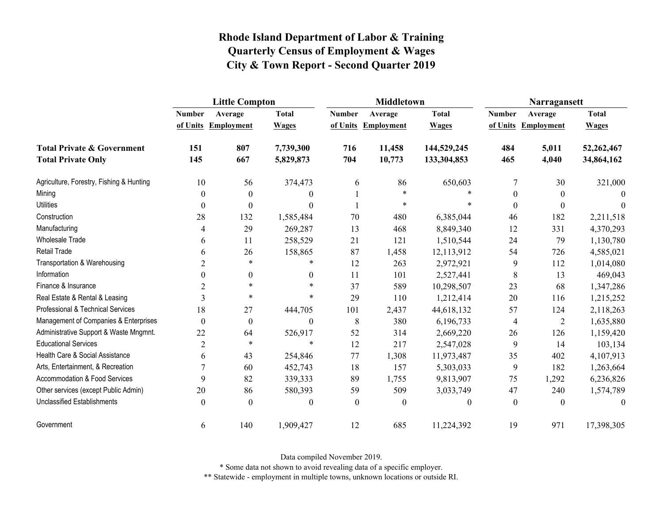|                                          | <b>Little Compton</b> |                   |                  |               | <b>Middletown</b>   |              | Narragansett     |                   |              |
|------------------------------------------|-----------------------|-------------------|------------------|---------------|---------------------|--------------|------------------|-------------------|--------------|
|                                          | <b>Number</b>         | Average           | <b>Total</b>     | <b>Number</b> | Average             | <b>Total</b> | <b>Number</b>    | Average           | <b>Total</b> |
|                                          | of Units              | <b>Employment</b> | <b>Wages</b>     |               | of Units Employment | <b>Wages</b> | of Units         | <b>Employment</b> | <b>Wages</b> |
| <b>Total Private &amp; Government</b>    | 151                   | 807               | 7,739,300        | 716           | 11,458              | 144,529,245  | 484              | 5,011             | 52,262,467   |
| <b>Total Private Only</b>                | 145                   | 667               | 5,829,873        | 704           | 10,773              | 133,304,853  | 465              | 4,040             | 34,864,162   |
| Agriculture, Forestry, Fishing & Hunting | 10                    | 56                | 374,473          | 6             | 86                  | 650,603      | 7                | 30                | 321,000      |
| Mining                                   | $\boldsymbol{0}$      | $\boldsymbol{0}$  | $\theta$         |               | $\ast$              | $\ast$       | $\boldsymbol{0}$ | $\boldsymbol{0}$  | $\Omega$     |
| <b>Utilities</b>                         | $\boldsymbol{0}$      | $\boldsymbol{0}$  | $\theta$         |               | *                   | $\ast$       | $\theta$         | $\theta$          | $\theta$     |
| Construction                             | 28                    | 132               | 1,585,484        | 70            | 480                 | 6,385,044    | 46               | 182               | 2,211,518    |
| Manufacturing                            | $\overline{4}$        | 29                | 269,287          | 13            | 468                 | 8,849,340    | 12               | 331               | 4,370,293    |
| <b>Wholesale Trade</b>                   | 6                     | 11                | 258,529          | 21            | 121                 | 1,510,544    | 24               | 79                | 1,130,780    |
| <b>Retail Trade</b>                      | 6                     | 26                | 158,865          | 87            | 1,458               | 12,113,912   | 54               | 726               | 4,585,021    |
| Transportation & Warehousing             | $\overline{2}$        | $\ast$            | $\ast$           | 12            | 263                 | 2,972,921    | 9                | 112               | 1,014,080    |
| Information                              | $\theta$              | $\mathbf{0}$      | $\theta$         | 11            | 101                 | 2,527,441    | 8                | 13                | 469,043      |
| Finance & Insurance                      | $\overline{2}$        | $\ast$            | *                | 37            | 589                 | 10,298,507   | 23               | 68                | 1,347,286    |
| Real Estate & Rental & Leasing           | 3                     | $\ast$            | $\ast$           | 29            | 110                 | 1,212,414    | 20               | 116               | 1,215,252    |
| Professional & Technical Services        | 18                    | 27                | 444,705          | 101           | 2,437               | 44,618,132   | 57               | 124               | 2,118,263    |
| Management of Companies & Enterprises    | $\boldsymbol{0}$      | $\boldsymbol{0}$  | $\boldsymbol{0}$ | 8             | 380                 | 6,196,733    | 4                | $\overline{2}$    | 1,635,880    |
| Administrative Support & Waste Mngmnt.   | 22                    | 64                | 526,917          | 52            | 314                 | 2,669,220    | 26               | 126               | 1,159,420    |
| <b>Educational Services</b>              | $\sqrt{2}$            | $\ast$            | $\ast$           | 12            | 217                 | 2,547,028    | 9                | 14                | 103,134      |
| Health Care & Social Assistance          | 6                     | 43                | 254,846          | 77            | 1,308               | 11,973,487   | 35               | 402               | 4,107,913    |
| Arts, Entertainment, & Recreation        | $\overline{7}$        | 60                | 452,743          | 18            | 157                 | 5,303,033    | $\boldsymbol{9}$ | 182               | 1,263,664    |
| <b>Accommodation &amp; Food Services</b> | 9                     | 82                | 339,333          | 89            | 1,755               | 9,813,907    | 75               | 1,292             | 6,236,826    |
| Other services (except Public Admin)     | 20                    | 86                | 580,393          | 59            | 509                 | 3,033,749    | 47               | 240               | 1,574,789    |
| <b>Unclassified Establishments</b>       | $\boldsymbol{0}$      | $\boldsymbol{0}$  | $\mathbf{0}$     | $\theta$      | $\theta$            | $\theta$     | $\mathbf{0}$     | $\mathbf{0}$      | $\theta$     |
| Government                               | 6                     | 140               | 1,909,427        | 12            | 685                 | 11,224,392   | 19               | 971               | 17,398,305   |

Data compiled November 2019.

\* Some data not shown to avoid revealing data of a specific employer.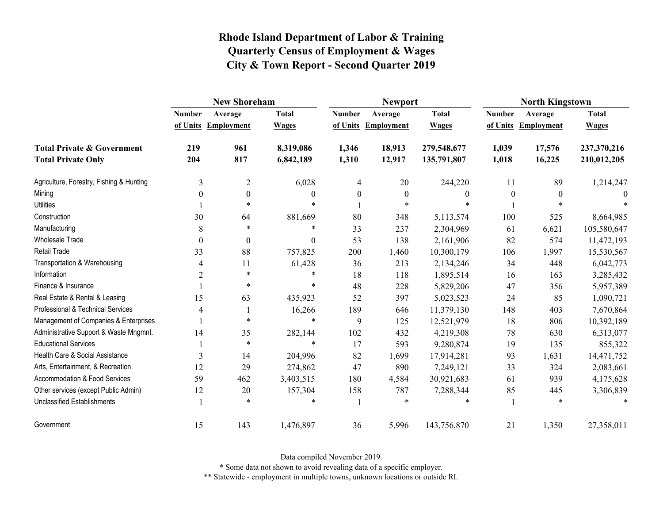|                                                                    | <b>New Shoreham</b> |                                |                              |                           | <b>Newport</b>               |                              | <b>North Kingstown</b>    |                              |                              |
|--------------------------------------------------------------------|---------------------|--------------------------------|------------------------------|---------------------------|------------------------------|------------------------------|---------------------------|------------------------------|------------------------------|
|                                                                    | <b>Number</b>       | Average<br>of Units Employment | <b>Total</b><br><b>Wages</b> | <b>Number</b><br>of Units | Average<br><b>Employment</b> | <b>Total</b><br><b>Wages</b> | <b>Number</b><br>of Units | Average<br><b>Employment</b> | <b>Total</b><br><b>Wages</b> |
| <b>Total Private &amp; Government</b><br><b>Total Private Only</b> | 219<br>204          | 961<br>817                     | 8,319,086<br>6,842,189       | 1,346<br>1,310            | 18,913<br>12,917             | 279,548,677<br>135,791,807   | 1,039<br>1,018            | 17,576<br>16,225             | 237,370,216<br>210,012,205   |
| Agriculture, Forestry, Fishing & Hunting                           | 3                   | $\mathbf{2}$                   | 6,028                        | 4                         | 20                           | 244,220                      | 11                        | 89                           | 1,214,247                    |
| Mining                                                             | 0                   | $\boldsymbol{0}$               | 0                            | $\boldsymbol{0}$          | $\boldsymbol{0}$             | $\boldsymbol{0}$             | $\boldsymbol{0}$          | $\boldsymbol{0}$             |                              |
| <b>Utilities</b>                                                   |                     | $\ast$                         | $\ast$                       |                           | $\ast$                       |                              |                           | $\ast$                       |                              |
| Construction                                                       | 30                  | 64                             | 881,669                      | 80                        | 348                          | 5,113,574                    | 100                       | 525                          | 8,664,985                    |
| Manufacturing                                                      | 8                   | *                              | $\ast$                       | 33                        | 237                          | 2,304,969                    | 61                        | 6,621                        | 105,580,647                  |
| Wholesale Trade                                                    | 0                   | $\boldsymbol{0}$               | $\boldsymbol{0}$             | 53                        | 138                          | 2,161,906                    | 82                        | 574                          | 11,472,193                   |
| Retail Trade                                                       | 33                  | 88                             | 757,825                      | 200                       | 1,460                        | 10,300,179                   | 106                       | 1,997                        | 15,530,567                   |
| Transportation & Warehousing                                       | 4                   | 11                             | 61,428                       | 36                        | 213                          | 2,134,246                    | 34                        | 448                          | 6,042,773                    |
| Information                                                        | $\overline{c}$      | $\ast$                         | $\ast$                       | 18                        | 118                          | 1,895,514                    | 16                        | 163                          | 3,285,432                    |
| Finance & Insurance                                                |                     | $\ast$                         | $\ast$                       | 48                        | 228                          | 5,829,206                    | 47                        | 356                          | 5,957,389                    |
| Real Estate & Rental & Leasing                                     | 15                  | 63                             | 435,923                      | 52                        | 397                          | 5,023,523                    | 24                        | 85                           | 1,090,721                    |
| Professional & Technical Services                                  | 4                   |                                | 16,266                       | 189                       | 646                          | 11,379,130                   | 148                       | 403                          | 7,670,864                    |
| Management of Companies & Enterprises                              |                     | $\ast$                         | $\ast$                       | 9                         | 125                          | 12,521,979                   | 18                        | 806                          | 10,392,189                   |
| Administrative Support & Waste Mngmnt.                             | 14                  | 35                             | 282,144                      | 102                       | 432                          | 4,219,308                    | 78                        | 630                          | 6,313,077                    |
| <b>Educational Services</b>                                        |                     | $\ast$                         | $\ast$                       | 17                        | 593                          | 9,280,874                    | 19                        | 135                          | 855,322                      |
| Health Care & Social Assistance                                    | 3                   | 14                             | 204,996                      | 82                        | 1,699                        | 17,914,281                   | 93                        | 1,631                        | 14,471,752                   |
| Arts, Entertainment, & Recreation                                  | 12                  | 29                             | 274,862                      | 47                        | 890                          | 7,249,121                    | 33                        | 324                          | 2,083,661                    |
| Accommodation & Food Services                                      | 59                  | 462                            | 3,403,515                    | 180                       | 4,584                        | 30,921,683                   | 61                        | 939                          | 4,175,628                    |
| Other services (except Public Admin)                               | 12                  | 20                             | 157,304                      | 158                       | 787                          | 7,288,344                    | 85                        | 445                          | 3,306,839                    |
| <b>Unclassified Establishments</b>                                 |                     | *                              | *                            |                           | $\ast$                       | *                            |                           | $\ast$                       | $\ast$                       |
| Government                                                         | 15                  | 143                            | 1,476,897                    | 36                        | 5,996                        | 143,756,870                  | 21                        | 1,350                        | 27,358,011                   |

Data compiled November 2019.

\* Some data not shown to avoid revealing data of a specific employer.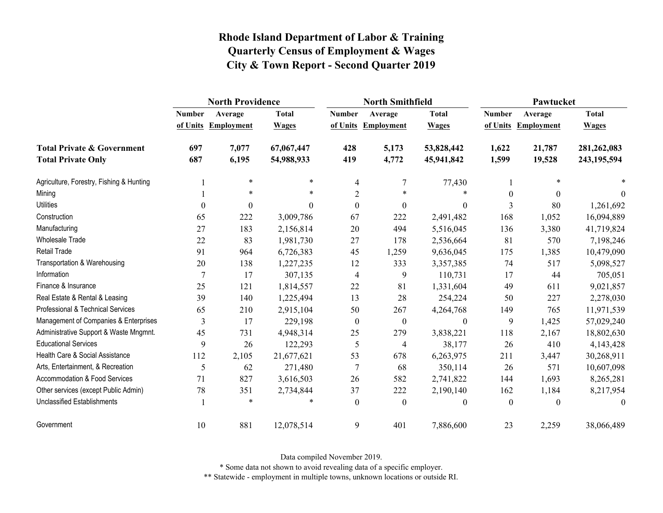|                                          | <b>North Providence</b> |                   |              |                  | <b>North Smithfield</b>  |                  | Pawtucket        |                     |              |  |
|------------------------------------------|-------------------------|-------------------|--------------|------------------|--------------------------|------------------|------------------|---------------------|--------------|--|
|                                          | <b>Number</b>           | Average           | <b>Total</b> | <b>Number</b>    | Average                  | <b>Total</b>     | <b>Number</b>    | Average             | <b>Total</b> |  |
|                                          | of Units                | <b>Employment</b> | <b>Wages</b> |                  | of Units Employment      | <b>Wages</b>     |                  | of Units Employment | <b>Wages</b> |  |
| <b>Total Private &amp; Government</b>    | 697                     | 7,077             | 67,067,447   | 428              | 5,173                    | 53,828,442       | 1,622            | 21,787              | 281,262,083  |  |
| <b>Total Private Only</b>                | 687                     | 6,195             | 54,988,933   | 419              | 4,772                    | 45,941,842       | 1,599            | 19,528              | 243,195,594  |  |
| Agriculture, Forestry, Fishing & Hunting |                         | $\ast$            | $\ast$       | 4                | 7                        | 77,430           |                  |                     |              |  |
| Mining                                   |                         | $\ast$            | $\ast$       | $\overline{2}$   | $\ast$                   | *                | $\boldsymbol{0}$ | $\mathbf{0}$        | $\mathbf{0}$ |  |
| <b>Utilities</b>                         | $\theta$                | $\mathbf{0}$      | $\Omega$     | $\theta$         | $\boldsymbol{0}$         | $\boldsymbol{0}$ | 3                | 80                  | 1,261,692    |  |
| Construction                             | 65                      | 222               | 3,009,786    | 67               | 222                      | 2,491,482        | 168              | 1,052               | 16,094,889   |  |
| Manufacturing                            | 27                      | 183               | 2,156,814    | 20               | 494                      | 5,516,045        | 136              | 3,380               | 41,719,824   |  |
| <b>Wholesale Trade</b>                   | 22                      | 83                | 1,981,730    | $27\,$           | 178                      | 2,536,664        | 81               | 570                 | 7,198,246    |  |
| <b>Retail Trade</b>                      | 91                      | 964               | 6,726,383    | 45               | 1,259                    | 9,636,045        | 175              | 1,385               | 10,479,090   |  |
| Transportation & Warehousing             | 20                      | 138               | 1,227,235    | 12               | 333                      | 3,357,385        | 74               | 517                 | 5,098,527    |  |
| Information                              | 7                       | 17                | 307,135      | 4                | 9                        | 110,731          | 17               | 44                  | 705,051      |  |
| Finance & Insurance                      | 25                      | 121               | 1,814,557    | 22               | 81                       | 1,331,604        | 49               | 611                 | 9,021,857    |  |
| Real Estate & Rental & Leasing           | 39                      | 140               | 1,225,494    | 13               | 28                       | 254,224          | 50               | 227                 | 2,278,030    |  |
| Professional & Technical Services        | 65                      | 210               | 2,915,104    | 50               | 267                      | 4,264,768        | 149              | 765                 | 11,971,539   |  |
| Management of Companies & Enterprises    | 3                       | 17                | 229,198      | $\boldsymbol{0}$ | $\boldsymbol{0}$         | $\boldsymbol{0}$ | 9                | 1,425               | 57,029,240   |  |
| Administrative Support & Waste Mngmnt.   | 45                      | 731               | 4,948,314    | 25               | 279                      | 3,838,221        | 118              | 2,167               | 18,802,630   |  |
| <b>Educational Services</b>              | 9                       | 26                | 122,293      | $\mathfrak s$    | $\overline{\mathcal{A}}$ | 38,177           | 26               | 410                 | 4,143,428    |  |
| Health Care & Social Assistance          | 112                     | 2,105             | 21,677,621   | 53               | 678                      | 6,263,975        | 211              | 3,447               | 30,268,911   |  |
| Arts, Entertainment, & Recreation        | 5                       | 62                | 271,480      | $\overline{7}$   | 68                       | 350,114          | 26               | 571                 | 10,607,098   |  |
| <b>Accommodation &amp; Food Services</b> | 71                      | 827               | 3,616,503    | 26               | 582                      | 2,741,822        | 144              | 1,693               | 8,265,281    |  |
| Other services (except Public Admin)     | 78                      | 351               | 2,734,844    | 37               | 222                      | 2,190,140        | 162              | 1,184               | 8,217,954    |  |
| <b>Unclassified Establishments</b>       |                         | $\ast$            |              | $\mathbf{0}$     | $\mathbf{0}$             | $\theta$         | $\mathbf{0}$     | $\theta$            | $\theta$     |  |
| Government                               | 10                      | 881               | 12,078,514   | 9                | 401                      | 7,886,600        | 23               | 2,259               | 38,066,489   |  |

Data compiled November 2019.

\* Some data not shown to avoid revealing data of a specific employer.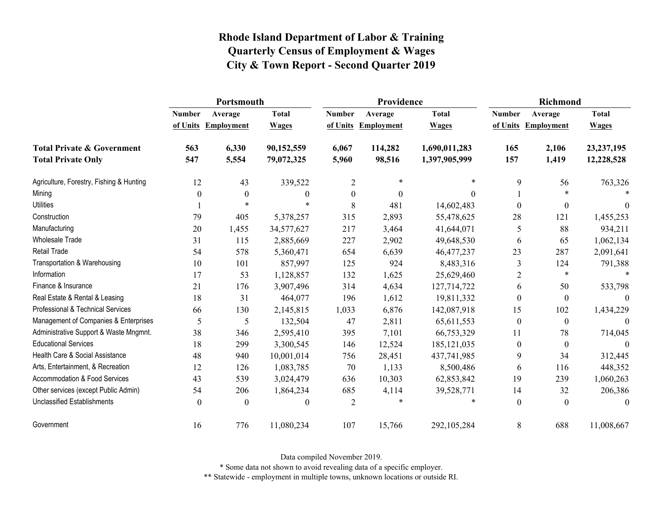|                                          | Portsmouth    |                     |                  |                  | Providence        |               | <b>Richmond</b>  |                   |                  |
|------------------------------------------|---------------|---------------------|------------------|------------------|-------------------|---------------|------------------|-------------------|------------------|
|                                          | <b>Number</b> | Average             | <b>Total</b>     | <b>Number</b>    | Average           | <b>Total</b>  | <b>Number</b>    | Average           | <b>Total</b>     |
|                                          |               | of Units Employment | <b>Wages</b>     | of Units         | <b>Employment</b> | <b>Wages</b>  | of Units         | <b>Employment</b> | <b>Wages</b>     |
| <b>Total Private &amp; Government</b>    | 563           | 6,330               | 90,152,559       | 6,067            | 114,282           | 1,690,011,283 | 165              | 2,106             | 23, 237, 195     |
| <b>Total Private Only</b>                | 547           | 5,554               | 79,072,325       | 5,960            | 98,516            | 1,397,905,999 | 157              | 1,419             | 12,228,528       |
| Agriculture, Forestry, Fishing & Hunting | 12            | 43                  | 339,522          | $\overline{2}$   | $\ast$            | $\ast$        | 9                | 56                | 763,326          |
| Mining                                   | $\theta$      | $\boldsymbol{0}$    | $\boldsymbol{0}$ | $\boldsymbol{0}$ | $\theta$          | $\Omega$      |                  | $\ast$            |                  |
| <b>Utilities</b>                         |               | $\ast$              |                  | 8                | 481               | 14,602,483    | $\theta$         | $\boldsymbol{0}$  | $\theta$         |
| Construction                             | 79            | 405                 | 5,378,257        | 315              | 2,893             | 55,478,625    | 28               | 121               | 1,455,253        |
| Manufacturing                            | 20            | 1,455               | 34,577,627       | 217              | 3,464             | 41,644,071    | 5                | 88                | 934,211          |
| Wholesale Trade                          | 31            | 115                 | 2,885,669        | 227              | 2,902             | 49,648,530    | 6                | 65                | 1,062,134        |
| Retail Trade                             | 54            | 578                 | 5,360,471        | 654              | 6,639             | 46, 477, 237  | 23               | 287               | 2,091,641        |
| Transportation & Warehousing             | 10            | 101                 | 857,997          | 125              | 924               | 8,483,316     | 3                | 124               | 791,388          |
| Information                              | 17            | 53                  | 1,128,857        | 132              | 1,625             | 25,629,460    | $\overline{2}$   | $\ast$            |                  |
| Finance & Insurance                      | 21            | 176                 | 3,907,496        | 314              | 4,634             | 127,714,722   | 6                | 50                | 533,798          |
| Real Estate & Rental & Leasing           | 18            | 31                  | 464,077          | 196              | 1,612             | 19,811,332    | $\theta$         | $\boldsymbol{0}$  | $\theta$         |
| Professional & Technical Services        | 66            | 130                 | 2,145,815        | 1,033            | 6,876             | 142,087,918   | 15               | 102               | 1,434,229        |
| Management of Companies & Enterprises    | 5             | 5                   | 132,504          | 47               | 2,811             | 65,611,553    | $\boldsymbol{0}$ | $\boldsymbol{0}$  | $\boldsymbol{0}$ |
| Administrative Support & Waste Mngmnt.   | 38            | 346                 | 2,595,410        | 395              | 7,101             | 66,753,329    | 11               | 78                | 714,045          |
| <b>Educational Services</b>              | 18            | 299                 | 3,300,545        | 146              | 12,524            | 185, 121, 035 | $\mathbf{0}$     | $\boldsymbol{0}$  | $\Omega$         |
| Health Care & Social Assistance          | 48            | 940                 | 10,001,014       | 756              | 28,451            | 437,741,985   | 9                | 34                | 312,445          |
| Arts, Entertainment, & Recreation        | 12            | 126                 | 1,083,785        | 70               | 1,133             | 8,500,486     | 6                | 116               | 448,352          |
| Accommodation & Food Services            | 43            | 539                 | 3,024,479        | 636              | 10,303            | 62,853,842    | 19               | 239               | 1,060,263        |
| Other services (except Public Admin)     | 54            | 206                 | 1,864,234        | 685              | 4,114             | 39,528,771    | 14               | 32                | 206,386          |
| <b>Unclassified Establishments</b>       | $\theta$      | $\boldsymbol{0}$    | $\boldsymbol{0}$ | $\overline{2}$   | *                 | $\ast$        | $\boldsymbol{0}$ | $\boldsymbol{0}$  | $\mathbf{0}$     |
| Government                               | 16            | 776                 | 11,080,234       | 107              | 15,766            | 292,105,284   | 8                | 688               | 11,008,667       |

Data compiled November 2019.

\* Some data not shown to avoid revealing data of a specific employer.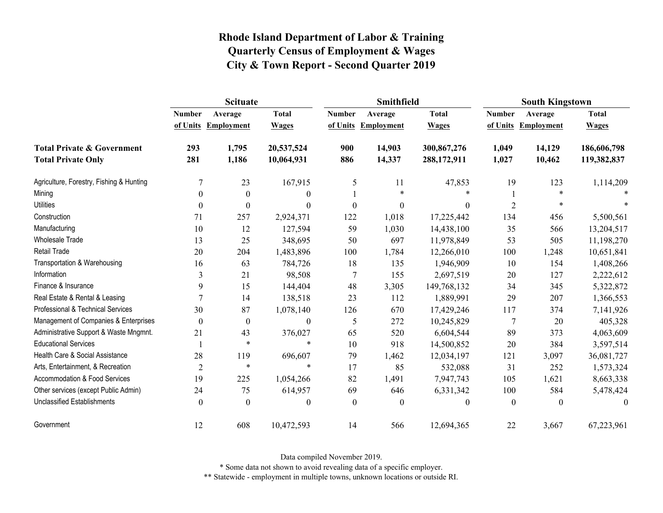|                                          | <b>Scituate</b>  |                     |                  |                  | Smithfield        |                  | <b>South Kingstown</b> |                   |                  |  |
|------------------------------------------|------------------|---------------------|------------------|------------------|-------------------|------------------|------------------------|-------------------|------------------|--|
|                                          | <b>Number</b>    | Average             | <b>Total</b>     | <b>Number</b>    | Average           | <b>Total</b>     | <b>Number</b>          | Average           | <b>Total</b>     |  |
|                                          |                  | of Units Employment | <b>Wages</b>     | of Units         | <b>Employment</b> | <b>Wages</b>     | of Units               | <b>Employment</b> | <b>Wages</b>     |  |
| <b>Total Private &amp; Government</b>    | 293              | 1,795               | 20,537,524       | 900              | 14,903            | 300,867,276      | 1,049                  | 14,129            | 186,606,798      |  |
| <b>Total Private Only</b>                | 281              | 1,186               | 10,064,931       | 886              | 14,337            | 288,172,911      | 1,027                  | 10,462            | 119,382,837      |  |
| Agriculture, Forestry, Fishing & Hunting |                  | 23                  | 167,915          | 5                | 11                | 47,853           | 19                     | 123               | 1,114,209        |  |
| Mining                                   | $\mathbf{0}$     | $\boldsymbol{0}$    | $\boldsymbol{0}$ |                  | $\ast$            | $\ast$           |                        | $\ast$            |                  |  |
| <b>Utilities</b>                         | $\theta$         | $\theta$            | $\theta$         | $\theta$         | $\boldsymbol{0}$  | $\boldsymbol{0}$ | $\overline{2}$         | $\ast$            |                  |  |
| Construction                             | 71               | 257                 | 2,924,371        | 122              | 1,018             | 17,225,442       | 134                    | 456               | 5,500,561        |  |
| Manufacturing                            | 10               | 12                  | 127,594          | 59               | 1,030             | 14,438,100       | 35                     | 566               | 13,204,517       |  |
| Wholesale Trade                          | 13               | 25                  | 348,695          | 50               | 697               | 11,978,849       | 53                     | 505               | 11,198,270       |  |
| <b>Retail Trade</b>                      | 20               | 204                 | 1,483,896        | 100              | 1,784             | 12,266,010       | 100                    | 1,248             | 10,651,841       |  |
| Transportation & Warehousing             | 16               | 63                  | 784,726          | 18               | 135               | 1,946,909        | 10                     | 154               | 1,408,266        |  |
| Information                              | 3                | 21                  | 98,508           | $\tau$           | 155               | 2,697,519        | 20                     | 127               | 2,222,612        |  |
| Finance & Insurance                      | 9                | 15                  | 144,404          | 48               | 3,305             | 149,768,132      | 34                     | 345               | 5,322,872        |  |
| Real Estate & Rental & Leasing           | 7                | 14                  | 138,518          | 23               | 112               | 1,889,991        | 29                     | 207               | 1,366,553        |  |
| Professional & Technical Services        | 30               | 87                  | 1,078,140        | 126              | 670               | 17,429,246       | 117                    | 374               | 7,141,926        |  |
| Management of Companies & Enterprises    | $\boldsymbol{0}$ | $\boldsymbol{0}$    | $\boldsymbol{0}$ | 5                | 272               | 10,245,829       | $\overline{7}$         | 20                | 405,328          |  |
| Administrative Support & Waste Mngmnt.   | 21               | 43                  | 376,027          | 65               | 520               | 6,604,544        | 89                     | 373               | 4,063,609        |  |
| <b>Educational Services</b>              |                  | $\ast$              | $\ast$           | 10               | 918               | 14,500,852       | 20                     | 384               | 3,597,514        |  |
| Health Care & Social Assistance          | 28               | 119                 | 696,607          | 79               | 1,462             | 12,034,197       | 121                    | 3,097             | 36,081,727       |  |
| Arts, Entertainment, & Recreation        | $\overline{2}$   | $\ast$              | $\ast$           | 17               | 85                | 532,088          | 31                     | 252               | 1,573,324        |  |
| Accommodation & Food Services            | 19               | 225                 | 1,054,266        | 82               | 1,491             | 7,947,743        | 105                    | 1,621             | 8,663,338        |  |
| Other services (except Public Admin)     | 24               | 75                  | 614,957          | 69               | 646               | 6,331,342        | 100                    | 584               | 5,478,424        |  |
| <b>Unclassified Establishments</b>       | $\mathbf{0}$     | $\boldsymbol{0}$    | $\boldsymbol{0}$ | $\boldsymbol{0}$ | $\boldsymbol{0}$  | $\theta$         | $\boldsymbol{0}$       | $\theta$          | $\boldsymbol{0}$ |  |
| Government                               | 12               | 608                 | 10,472,593       | 14               | 566               | 12,694,365       | 22                     | 3,667             | 67,223,961       |  |

Data compiled November 2019.

\* Some data not shown to avoid revealing data of a specific employer.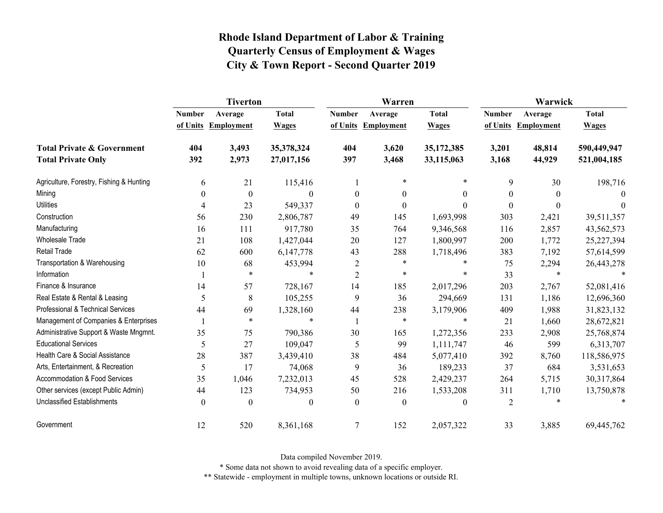|                                          | <b>Tiverton</b>  |                   |              |                  | Warren            |              | Warwick          |                   |              |  |
|------------------------------------------|------------------|-------------------|--------------|------------------|-------------------|--------------|------------------|-------------------|--------------|--|
|                                          | <b>Number</b>    | Average           | <b>Total</b> | <b>Number</b>    | Average           | <b>Total</b> | <b>Number</b>    | Average           | <b>Total</b> |  |
|                                          | of Units         | <b>Employment</b> | <b>Wages</b> | of Units         | <b>Employment</b> | <b>Wages</b> | of Units         | <b>Employment</b> | <b>Wages</b> |  |
| <b>Total Private &amp; Government</b>    | 404              | 3,493             | 35,378,324   | 404              | 3,620             | 35,172,385   | 3,201            | 48,814            | 590,449,947  |  |
| <b>Total Private Only</b>                | 392              | 2,973             | 27,017,156   | 397              | 3,468             | 33,115,063   | 3,168            | 44,929            | 521,004,185  |  |
| Agriculture, Forestry, Fishing & Hunting | 6                | 21                | 115,416      |                  | $\ast$            | $\ast$       | 9                | 30                | 198,716      |  |
| Mining                                   | $\boldsymbol{0}$ | $\boldsymbol{0}$  | $\mathbf{0}$ | $\boldsymbol{0}$ | $\boldsymbol{0}$  | 0            | $\boldsymbol{0}$ |                   | $\theta$     |  |
| <b>Utilities</b>                         | 4                | 23                | 549,337      | $\theta$         | $\theta$          | $\Omega$     | $\Omega$         | 0                 | 0            |  |
| Construction                             | 56               | 230               | 2,806,787    | 49               | 145               | 1,693,998    | 303              | 2,421             | 39,511,357   |  |
| Manufacturing                            | 16               | 111               | 917,780      | 35               | 764               | 9,346,568    | 116              | 2,857             | 43,562,573   |  |
| <b>Wholesale Trade</b>                   | 21               | 108               | 1,427,044    | 20               | 127               | 1,800,997    | 200              | 1,772             | 25,227,394   |  |
| <b>Retail Trade</b>                      | 62               | 600               | 6,147,778    | 43               | 288               | 1,718,496    | 383              | 7,192             | 57,614,599   |  |
| Transportation & Warehousing             | 10               | 68                | 453,994      | $\overline{c}$   | $\ast$            | *            | 75               | 2,294             | 26,443,278   |  |
| Information                              |                  | $\ast$            | $\ast$       | 2                | $\ast$            | *            | 33               | $\ast$            |              |  |
| Finance & Insurance                      | 14               | 57                | 728,167      | 14               | 185               | 2,017,296    | 203              | 2,767             | 52,081,416   |  |
| Real Estate & Rental & Leasing           | 5                | 8                 | 105,255      | 9                | 36                | 294,669      | 131              | 1,186             | 12,696,360   |  |
| Professional & Technical Services        | 44               | 69                | 1,328,160    | 44               | 238               | 3,179,906    | 409              | 1,988             | 31,823,132   |  |
| Management of Companies & Enterprises    |                  | $\ast$            | $\ast$       | -1               | $\ast$            | $\ast$       | 21               | 1,660             | 28,672,821   |  |
| Administrative Support & Waste Mngmnt.   | 35               | 75                | 790,386      | 30               | 165               | 1,272,356    | 233              | 2,908             | 25,768,874   |  |
| <b>Educational Services</b>              | 5                | 27                | 109,047      | 5                | 99                | 1,111,747    | 46               | 599               | 6,313,707    |  |
| Health Care & Social Assistance          | 28               | 387               | 3,439,410    | 38               | 484               | 5,077,410    | 392              | 8,760             | 118,586,975  |  |
| Arts, Entertainment, & Recreation        | 5                | 17                | 74,068       | 9                | 36                | 189,233      | 37               | 684               | 3,531,653    |  |
| <b>Accommodation &amp; Food Services</b> | 35               | 1,046             | 7,232,013    | 45               | 528               | 2,429,237    | 264              | 5,715             | 30,317,864   |  |
| Other services (except Public Admin)     | 44               | 123               | 734,953      | 50               | 216               | 1,533,208    | 311              | 1,710             | 13,750,878   |  |
| <b>Unclassified Establishments</b>       | $\theta$         | $\boldsymbol{0}$  | $\mathbf{0}$ | $\mathbf{0}$     | $\mathbf{0}$      | 0            | $\overline{2}$   |                   |              |  |
| Government                               | 12               | 520               | 8,361,168    | $\overline{7}$   | 152               | 2,057,322    | 33               | 3,885             | 69,445,762   |  |

Data compiled November 2019.

\* Some data not shown to avoid revealing data of a specific employer.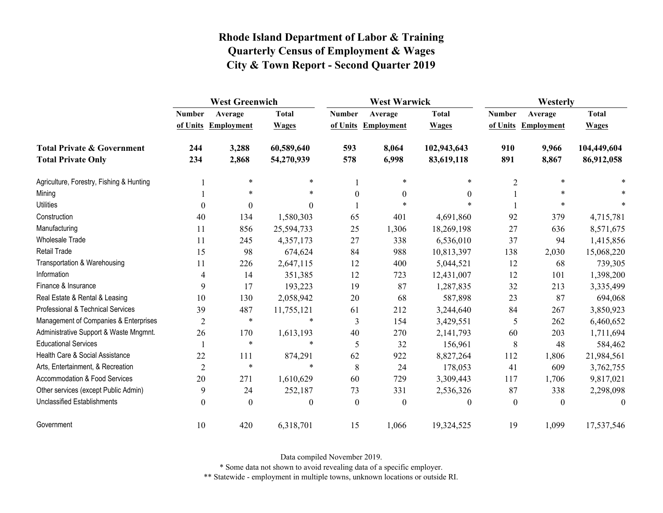|                                          | <b>West Greenwich</b> |                   |                  | <b>West Warwick</b> |                     |                  | Westerly         |                     |              |
|------------------------------------------|-----------------------|-------------------|------------------|---------------------|---------------------|------------------|------------------|---------------------|--------------|
|                                          | <b>Number</b>         | Average           | <b>Total</b>     | <b>Number</b>       | Average             | <b>Total</b>     | <b>Number</b>    | Average             | <b>Total</b> |
|                                          | of Units              | <b>Employment</b> | <b>Wages</b>     |                     | of Units Employment | <b>Wages</b>     |                  | of Units Employment | <b>Wages</b> |
| <b>Total Private &amp; Government</b>    | 244                   | 3,288             | 60,589,640       | 593                 | 8,064               | 102,943,643      | 910              | 9,966               | 104,449,604  |
| <b>Total Private Only</b>                | 234                   | 2,868             | 54,270,939       | 578                 | 6,998               | 83,619,118       | 891              | 8,867               | 86,912,058   |
| Agriculture, Forestry, Fishing & Hunting |                       | $\ast$            | $\ast$           |                     | *                   | $\ast$           | $\overline{2}$   | $\ast$              |              |
| Mining                                   |                       | $\ast$            | *                | $\boldsymbol{0}$    | $\boldsymbol{0}$    | $\mathbf{0}$     |                  | *                   |              |
| <b>Utilities</b>                         | $\theta$              | $\mathbf{0}$      | $\Omega$         |                     | $\ast$              |                  |                  | $\ast$              |              |
| Construction                             | 40                    | 134               | 1,580,303        | 65                  | 401                 | 4,691,860        | 92               | 379                 | 4,715,781    |
| Manufacturing                            | 11                    | 856               | 25,594,733       | 25                  | 1,306               | 18,269,198       | 27               | 636                 | 8,571,675    |
| Wholesale Trade                          | 11                    | 245               | 4,357,173        | 27                  | 338                 | 6,536,010        | 37               | 94                  | 1,415,856    |
| <b>Retail Trade</b>                      | 15                    | 98                | 674,624          | 84                  | 988                 | 10,813,397       | 138              | 2,030               | 15,068,220   |
| Transportation & Warehousing             | 11                    | 226               | 2,647,115        | 12                  | 400                 | 5,044,521        | 12               | 68                  | 739,305      |
| Information                              | 4                     | 14                | 351,385          | 12                  | 723                 | 12,431,007       | 12               | 101                 | 1,398,200    |
| Finance & Insurance                      | 9                     | 17                | 193,223          | 19                  | 87                  | 1,287,835        | 32               | 213                 | 3,335,499    |
| Real Estate & Rental & Leasing           | 10                    | 130               | 2,058,942        | 20                  | 68                  | 587,898          | 23               | 87                  | 694,068      |
| Professional & Technical Services        | 39                    | 487               | 11,755,121       | 61                  | 212                 | 3,244,640        | 84               | 267                 | 3,850,923    |
| Management of Companies & Enterprises    | $\overline{2}$        | $\ast$            | $\ast$           | 3                   | 154                 | 3,429,551        | 5                | 262                 | 6,460,652    |
| Administrative Support & Waste Mngmnt.   | 26                    | 170               | 1,613,193        | 40                  | 270                 | 2,141,793        | 60               | 203                 | 1,711,694    |
| <b>Educational Services</b>              |                       | $\ast$            | $\ast$           | 5                   | 32                  | 156,961          | $\,8\,$          | 48                  | 584,462      |
| Health Care & Social Assistance          | 22                    | 111               | 874,291          | 62                  | 922                 | 8,827,264        | 112              | 1,806               | 21,984,561   |
| Arts, Entertainment, & Recreation        | $\overline{2}$        | $\ast$            | $\ast$           | 8                   | 24                  | 178,053          | 41               | 609                 | 3,762,755    |
| Accommodation & Food Services            | 20                    | 271               | 1,610,629        | 60                  | 729                 | 3,309,443        | 117              | 1,706               | 9,817,021    |
| Other services (except Public Admin)     | 9                     | 24                | 252,187          | 73                  | 331                 | 2,536,326        | 87               | 338                 | 2,298,098    |
| <b>Unclassified Establishments</b>       | $\boldsymbol{0}$      | $\theta$          | $\boldsymbol{0}$ | $\boldsymbol{0}$    | $\boldsymbol{0}$    | $\boldsymbol{0}$ | $\boldsymbol{0}$ | $\theta$            | $\theta$     |
| Government                               | 10                    | 420               | 6,318,701        | 15                  | 1,066               | 19,324,525       | 19               | 1,099               | 17,537,546   |

Data compiled November 2019.

\* Some data not shown to avoid revealing data of a specific employer.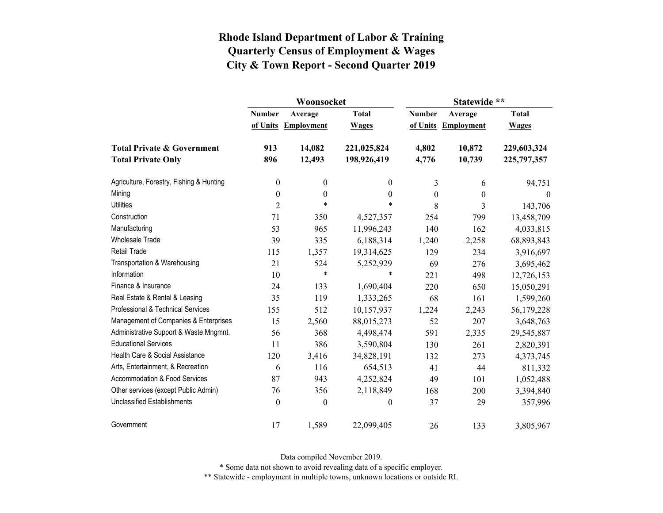|                                          |                  | Woonsocket        |                  | Statewide **     |                     |              |  |
|------------------------------------------|------------------|-------------------|------------------|------------------|---------------------|--------------|--|
|                                          | <b>Number</b>    | Average           | <b>Total</b>     | <b>Number</b>    | Average             | <b>Total</b> |  |
|                                          | of Units         | <b>Employment</b> | <b>Wages</b>     |                  | of Units Employment | <b>Wages</b> |  |
| <b>Total Private &amp; Government</b>    | 913              | 14,082            | 221,025,824      | 4,802            | 10,872              | 229,603,324  |  |
| <b>Total Private Only</b>                | 896              | 12,493            | 198,926,419      | 4,776            | 10,739              | 225,797,357  |  |
| Agriculture, Forestry, Fishing & Hunting | $\boldsymbol{0}$ | $\boldsymbol{0}$  | $\boldsymbol{0}$ | 3                | 6                   | 94,751       |  |
| Mining                                   | $\boldsymbol{0}$ | $\boldsymbol{0}$  | $\boldsymbol{0}$ | $\boldsymbol{0}$ | $\theta$            | $\bf{0}$     |  |
| <b>Utilities</b>                         | $\overline{2}$   | $\ast$            | $\ast$           | 8                | 3                   | 143,706      |  |
| Construction                             | 71               | 350               | 4,527,357        | 254              | 799                 | 13,458,709   |  |
| Manufacturing                            | 53               | 965               | 11,996,243       | 140              | 162                 | 4,033,815    |  |
| <b>Wholesale Trade</b>                   | 39               | 335               | 6,188,314        | 1,240            | 2,258               | 68,893,843   |  |
| <b>Retail Trade</b>                      | 115              | 1,357             | 19,314,625       | 129              | 234                 | 3,916,697    |  |
| Transportation & Warehousing             | 21               | 524               | 5,252,929        | 69               | 276                 | 3,695,462    |  |
| Information                              | 10               | $\ast$            | *                | 221              | 498                 | 12,726,153   |  |
| Finance & Insurance                      | 24               | 133               | 1,690,404        | 220              | 650                 | 15,050,291   |  |
| Real Estate & Rental & Leasing           | 35               | 119               | 1,333,265        | 68               | 161                 | 1,599,260    |  |
| Professional & Technical Services        | 155              | 512               | 10,157,937       | 1,224            | 2,243               | 56,179,228   |  |
| Management of Companies & Enterprises    | 15               | 2,560             | 88,015,273       | 52               | 207                 | 3,648,763    |  |
| Administrative Support & Waste Mngmnt.   | 56               | 368               | 4,498,474        | 591              | 2,335               | 29,545,887   |  |
| <b>Educational Services</b>              | 11               | 386               | 3,590,804        | 130              | 261                 | 2,820,391    |  |
| Health Care & Social Assistance          | 120              | 3,416             | 34,828,191       | 132              | 273                 | 4,373,745    |  |
| Arts, Entertainment, & Recreation        | 6                | 116               | 654,513          | 41               | 44                  | 811,332      |  |
| Accommodation & Food Services            | 87               | 943               | 4,252,824        | 49               | 101                 | 1,052,488    |  |
| Other services (except Public Admin)     | 76               | 356               | 2,118,849        | 168              | 200                 | 3,394,840    |  |
| <b>Unclassified Establishments</b>       | $\boldsymbol{0}$ | $\boldsymbol{0}$  | $\boldsymbol{0}$ | 37               | 29                  | 357,996      |  |
| Government                               | 17               | 1,589             | 22,099,405       | 26               | 133                 | 3,805,967    |  |

Data compiled November 2019.

\* Some data not shown to avoid revealing data of a specific employer.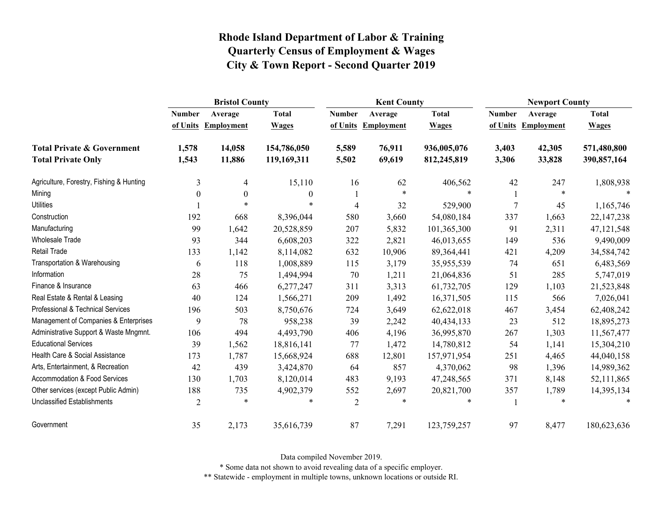|                                          | <b>Bristol County</b> |                   |              |                | <b>Kent County</b> |              |                | <b>Newport County</b> |              |  |
|------------------------------------------|-----------------------|-------------------|--------------|----------------|--------------------|--------------|----------------|-----------------------|--------------|--|
|                                          | <b>Number</b>         | Average           | <b>Total</b> | <b>Number</b>  | Average            | <b>Total</b> | <b>Number</b>  | Average               | <b>Total</b> |  |
|                                          | of Units              | <b>Employment</b> | <b>Wages</b> | of Units       | <b>Employment</b>  | <b>Wages</b> | of Units       | <b>Employment</b>     | <b>Wages</b> |  |
| <b>Total Private &amp; Government</b>    | 1,578                 | 14,058            | 154,786,050  | 5,589          | 76,911             | 936,005,076  | 3,403          | 42,305                | 571,480,800  |  |
| <b>Total Private Only</b>                | 1,543                 | 11,886            | 119,169,311  | 5,502          | 69,619             | 812,245,819  | 3,306          | 33,828                | 390,857,164  |  |
| Agriculture, Forestry, Fishing & Hunting | 3                     | 4                 | 15,110       | 16             | 62                 | 406,562      | 42             | 247                   | 1,808,938    |  |
| Mining                                   | $\boldsymbol{0}$      | $\boldsymbol{0}$  | $\mathbf{0}$ |                | $\ast$             | $\ast$       |                | $\ast$                |              |  |
| <b>Utilities</b>                         |                       | $\ast$            | $\ast$       | $\overline{4}$ | 32                 | 529,900      | $\overline{7}$ | 45                    | 1,165,746    |  |
| Construction                             | 192                   | 668               | 8,396,044    | 580            | 3,660              | 54,080,184   | 337            | 1,663                 | 22, 147, 238 |  |
| Manufacturing                            | 99                    | 1,642             | 20,528,859   | 207            | 5,832              | 101,365,300  | 91             | 2,311                 | 47, 121, 548 |  |
| Wholesale Trade                          | 93                    | 344               | 6,608,203    | 322            | 2,821              | 46,013,655   | 149            | 536                   | 9,490,009    |  |
| Retail Trade                             | 133                   | 1,142             | 8,114,082    | 632            | 10,906             | 89,364,441   | 421            | 4,209                 | 34,584,742   |  |
| Transportation & Warehousing             | 6                     | 118               | 1,008,889    | 115            | 3,179              | 35,955,539   | 74             | 651                   | 6,483,569    |  |
| Information                              | 28                    | 75                | 1,494,994    | 70             | 1,211              | 21,064,836   | 51             | 285                   | 5,747,019    |  |
| Finance & Insurance                      | 63                    | 466               | 6,277,247    | 311            | 3,313              | 61,732,705   | 129            | 1,103                 | 21,523,848   |  |
| Real Estate & Rental & Leasing           | 40                    | 124               | 1,566,271    | 209            | 1,492              | 16,371,505   | 115            | 566                   | 7,026,041    |  |
| Professional & Technical Services        | 196                   | 503               | 8,750,676    | 724            | 3,649              | 62,622,018   | 467            | 3,454                 | 62,408,242   |  |
| Management of Companies & Enterprises    | 9                     | 78                | 958,238      | 39             | 2,242              | 40,434,133   | 23             | 512                   | 18,895,273   |  |
| Administrative Support & Waste Mngmnt.   | 106                   | 494               | 4,493,790    | 406            | 4,196              | 36,995,870   | 267            | 1,303                 | 11,567,477   |  |
| <b>Educational Services</b>              | 39                    | 1,562             | 18,816,141   | 77             | 1,472              | 14,780,812   | 54             | 1,141                 | 15,304,210   |  |
| Health Care & Social Assistance          | 173                   | 1,787             | 15,668,924   | 688            | 12,801             | 157,971,954  | 251            | 4,465                 | 44,040,158   |  |
| Arts, Entertainment, & Recreation        | 42                    | 439               | 3,424,870    | 64             | 857                | 4,370,062    | 98             | 1,396                 | 14,989,362   |  |
| <b>Accommodation &amp; Food Services</b> | 130                   | 1,703             | 8,120,014    | 483            | 9,193              | 47,248,565   | 371            | 8,148                 | 52,111,865   |  |
| Other services (except Public Admin)     | 188                   | 735               | 4,902,379    | 552            | 2,697              | 20,821,700   | 357            | 1,789                 | 14,395,134   |  |
| Unclassified Establishments              | $\overline{2}$        | $\ast$            | $\ast$       | $\overline{2}$ | $\ast$             | $\ast$       |                | $\ast$                | $\ast$       |  |
| Government                               | 35                    | 2,173             | 35,616,739   | 87             | 7,291              | 123,759,257  | 97             | 8,477                 | 180,623,636  |  |

Data compiled November 2019.

\* Some data not shown to avoid revealing data of a specific employer.